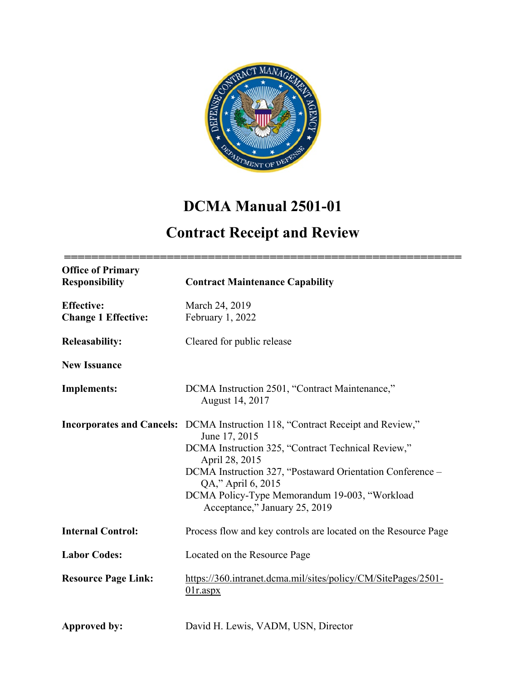

# **DCMA Manual 2501-01**

# **Contract Receipt and Review**

| <b>Office of Primary</b><br><b>Responsibility</b> | <b>Contract Maintenance Capability</b>                                                                                                                                                                                                                                                                                                              |
|---------------------------------------------------|-----------------------------------------------------------------------------------------------------------------------------------------------------------------------------------------------------------------------------------------------------------------------------------------------------------------------------------------------------|
| <b>Effective:</b><br><b>Change 1 Effective:</b>   | March 24, 2019<br>February 1, 2022                                                                                                                                                                                                                                                                                                                  |
| <b>Releasability:</b>                             | Cleared for public release                                                                                                                                                                                                                                                                                                                          |
| <b>New Issuance</b>                               |                                                                                                                                                                                                                                                                                                                                                     |
| <b>Implements:</b>                                | DCMA Instruction 2501, "Contract Maintenance,"<br>August 14, 2017                                                                                                                                                                                                                                                                                   |
|                                                   | <b>Incorporates and Cancels:</b> DCMA Instruction 118, "Contract Receipt and Review,"<br>June 17, 2015<br>DCMA Instruction 325, "Contract Technical Review,"<br>April 28, 2015<br>DCMA Instruction 327, "Postaward Orientation Conference -<br>QA," April 6, 2015<br>DCMA Policy-Type Memorandum 19-003, "Workload<br>Acceptance," January 25, 2019 |
| <b>Internal Control:</b>                          | Process flow and key controls are located on the Resource Page                                                                                                                                                                                                                                                                                      |
| <b>Labor Codes:</b>                               | Located on the Resource Page                                                                                                                                                                                                                                                                                                                        |
| <b>Resource Page Link:</b>                        | https://360.intranet.dcma.mil/sites/policy/CM/SitePages/2501-<br>$01r$ .aspx                                                                                                                                                                                                                                                                        |
| Approved by:                                      | David H. Lewis, VADM, USN, Director                                                                                                                                                                                                                                                                                                                 |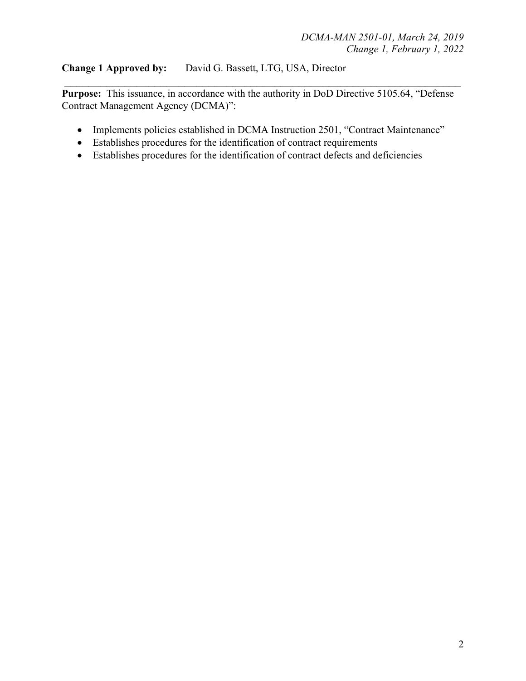## **Change 1 Approved by:**David G. Bassett, LTG, USA, Director

Purpose: This issuance, in accordance with the authority in DoD Directive 5105.64, "Defense Contract Management Agency (DCMA)":

 $\mathcal{L}_\text{max}$  , and the contract of the contract of the contract of the contract of the contract of the contract of the contract of the contract of the contract of the contract of the contract of the contract of the contr

- Implements policies established in DCMA Instruction 2501, "Contract Maintenance"
- Establishes procedures for the identification of contract requirements
- Establishes procedures for the identification of contract defects and deficiencies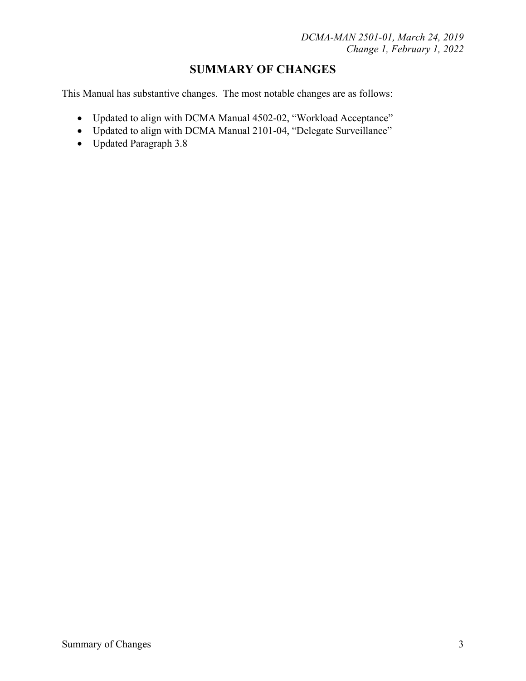## **SUMMARY OF CHANGES**

This Manual has substantive changes. The most notable changes are as follows:

- Updated to align with DCMA Manual 4502-02, "Workload Acceptance"
- Updated to align with DCMA Manual 2101-04, "Delegate Surveillance"
- Updated Paragraph 3.8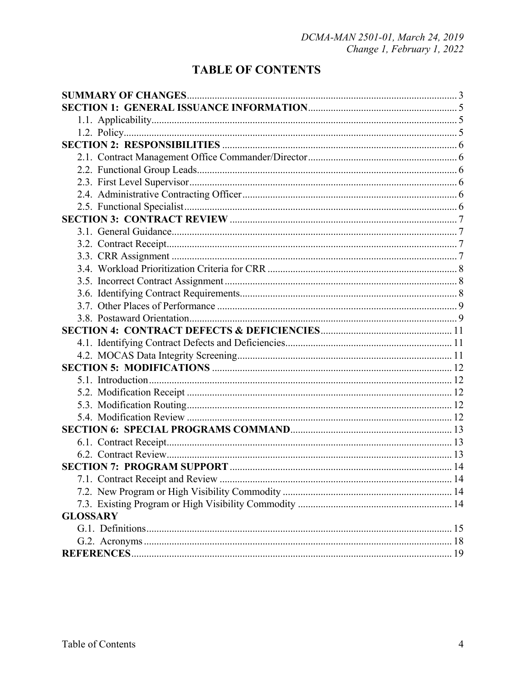# **TABLE OF CONTENTS**

| <b>GLOSSARY</b> |  |  |  |
|-----------------|--|--|--|
|                 |  |  |  |
|                 |  |  |  |
|                 |  |  |  |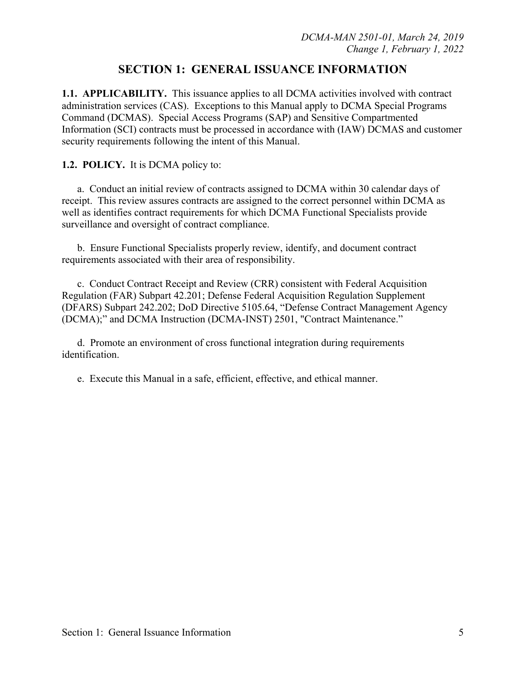## **SECTION 1: GENERAL ISSUANCE INFORMATION**

**1.1. APPLICABILITY.** This issuance applies to all DCMA activities involved with contract administration services (CAS). Exceptions to this Manual apply to DCMA Special Programs Command (DCMAS). Special Access Programs (SAP) and Sensitive Compartmented Information (SCI) contracts must be processed in accordance with (IAW) DCMAS and customer security requirements following the intent of this Manual.

#### **1.2. POLICY.** It is DCMA policy to:

 a. Conduct an initial review of contracts assigned to DCMA within 30 calendar days of receipt. This review assures contracts are assigned to the correct personnel within DCMA as well as identifies contract requirements for which DCMA Functional Specialists provide surveillance and oversight of contract compliance.

 b. Ensure Functional Specialists properly review, identify, and document contract requirements associated with their area of responsibility.

 c. Conduct Contract Receipt and Review (CRR) consistent with Federal Acquisition Regulation (FAR) Subpart 42.201; Defense Federal Acquisition Regulation Supplement (DFARS) Subpart 242.202; DoD Directive 5105.64, "Defense Contract Management Agency (DCMA);" and DCMA Instruction (DCMA-INST) 2501, "Contract Maintenance."

 d. Promote an environment of cross functional integration during requirements identification.

e. Execute this Manual in a safe, efficient, effective, and ethical manner.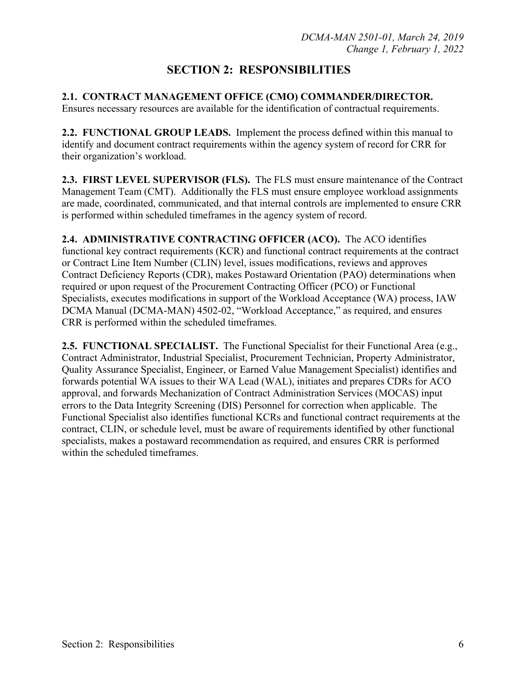# **SECTION 2: RESPONSIBILITIES**

## **2.1. CONTRACT MANAGEMENT OFFICE (CMO) COMMANDER/DIRECTOR.**

Ensures necessary resources are available for the identification of contractual requirements.

**2.2. FUNCTIONAL GROUP LEADS.** Implement the process defined within this manual to identify and document contract requirements within the agency system of record for CRR for their organization's workload.

**2.3. FIRST LEVEL SUPERVISOR (FLS).** The FLS must ensure maintenance of the Contract Management Team (CMT). Additionally the FLS must ensure employee workload assignments are made, coordinated, communicated, and that internal controls are implemented to ensure CRR is performed within scheduled timeframes in the agency system of record.

**2.4. ADMINISTRATIVE CONTRACTING OFFICER (ACO).** The ACO identifies functional key contract requirements (KCR) and functional contract requirements at the contract or Contract Line Item Number (CLIN) level, issues modifications, reviews and approves Contract Deficiency Reports (CDR), makes Postaward Orientation (PAO) determinations when required or upon request of the Procurement Contracting Officer (PCO) or Functional Specialists, executes modifications in support of the Workload Acceptance (WA) process, IAW DCMA Manual (DCMA-MAN) 4502-02, "Workload Acceptance," as required, and ensures CRR is performed within the scheduled timeframes.

**2.5. FUNCTIONAL SPECIALIST.** The Functional Specialist for their Functional Area (e.g., Contract Administrator, Industrial Specialist, Procurement Technician, Property Administrator, Quality Assurance Specialist, Engineer, or Earned Value Management Specialist) identifies and forwards potential WA issues to their WA Lead (WAL), initiates and prepares CDRs for ACO approval, and forwards Mechanization of Contract Administration Services (MOCAS) input errors to the Data Integrity Screening (DIS) Personnel for correction when applicable. The Functional Specialist also identifies functional KCRs and functional contract requirements at the contract, CLIN, or schedule level, must be aware of requirements identified by other functional specialists, makes a postaward recommendation as required, and ensures CRR is performed within the scheduled timeframes.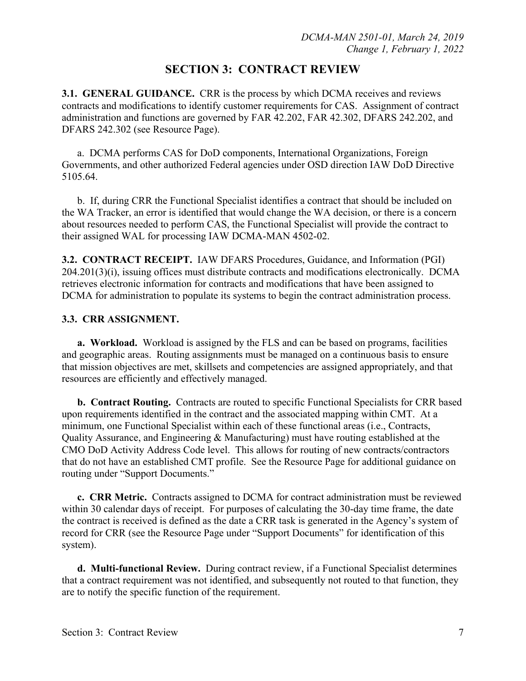## **SECTION 3: CONTRACT REVIEW**

**3.1. GENERAL GUIDANCE.** CRR is the process by which DCMA receives and reviews contracts and modifications to identify customer requirements for CAS. Assignment of contract administration and functions are governed by FAR 42.202, FAR 42.302, DFARS 242.202, and DFARS 242.302 (see Resource Page).

 a. DCMA performs CAS for DoD components, International Organizations, Foreign Governments, and other authorized Federal agencies under OSD direction IAW DoD Directive 5105.64.

 b. If, during CRR the Functional Specialist identifies a contract that should be included on the WA Tracker, an error is identified that would change the WA decision, or there is a concern about resources needed to perform CAS, the Functional Specialist will provide the contract to their assigned WAL for processing IAW DCMA-MAN 4502-02.

**3.2. CONTRACT RECEIPT.** IAW DFARS Procedures, Guidance, and Information (PGI) 204.201(3)(i), issuing offices must distribute contracts and modifications electronically. DCMA retrieves electronic information for contracts and modifications that have been assigned to DCMA for administration to populate its systems to begin the contract administration process.

#### **3.3. CRR ASSIGNMENT.**

**a. Workload.** Workload is assigned by the FLS and can be based on programs, facilities and geographic areas. Routing assignments must be managed on a continuous basis to ensure that mission objectives are met, skillsets and competencies are assigned appropriately, and that resources are efficiently and effectively managed.

**b. Contract Routing.** Contracts are routed to specific Functional Specialists for CRR based upon requirements identified in the contract and the associated mapping within CMT. At a minimum, one Functional Specialist within each of these functional areas (i.e., Contracts, Quality Assurance, and Engineering & Manufacturing) must have routing established at the CMO DoD Activity Address Code level. This allows for routing of new contracts/contractors that do not have an established CMT profile. See the Resource Page for additional guidance on routing under "Support Documents."

**c. CRR Metric.** Contracts assigned to DCMA for contract administration must be reviewed within 30 calendar days of receipt. For purposes of calculating the 30-day time frame, the date the contract is received is defined as the date a CRR task is generated in the Agency's system of record for CRR (see the Resource Page under "Support Documents" for identification of this system).

**d. Multi-functional Review.** During contract review, if a Functional Specialist determines that a contract requirement was not identified, and subsequently not routed to that function, they are to notify the specific function of the requirement.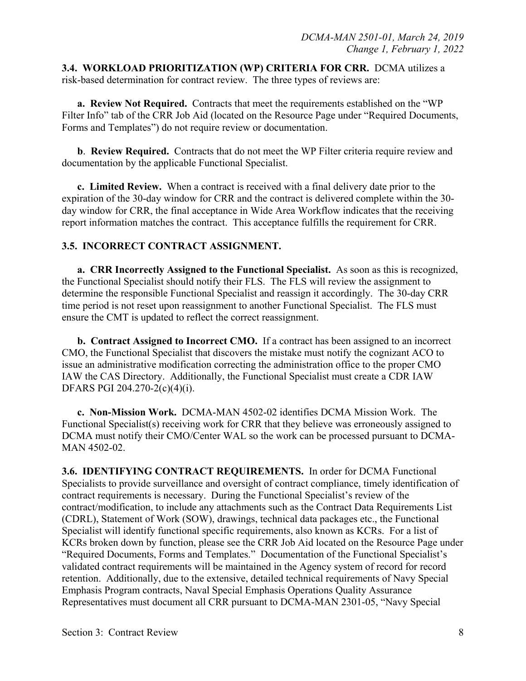**3.4. WORKLOAD PRIORITIZATION (WP) CRITERIA FOR CRR.** DCMA utilizes a risk-based determination for contract review. The three types of reviews are:

**a. Review Not Required.** Contracts that meet the requirements established on the "WP Filter Info" tab of the CRR Job Aid (located on the Resource Page under "Required Documents, Forms and Templates") do not require review or documentation.

**b**. **Review Required.** Contracts that do not meet the WP Filter criteria require review and documentation by the applicable Functional Specialist.

**c. Limited Review.** When a contract is received with a final delivery date prior to the expiration of the 30-day window for CRR and the contract is delivered complete within the 30 day window for CRR, the final acceptance in Wide Area Workflow indicates that the receiving report information matches the contract. This acceptance fulfills the requirement for CRR.

#### **3.5. INCORRECT CONTRACT ASSIGNMENT.**

**a. CRR Incorrectly Assigned to the Functional Specialist.** As soon as this is recognized, the Functional Specialist should notify their FLS. The FLS will review the assignment to determine the responsible Functional Specialist and reassign it accordingly. The 30-day CRR time period is not reset upon reassignment to another Functional Specialist. The FLS must ensure the CMT is updated to reflect the correct reassignment.

**b. Contract Assigned to Incorrect CMO.** If a contract has been assigned to an incorrect CMO, the Functional Specialist that discovers the mistake must notify the cognizant ACO to issue an administrative modification correcting the administration office to the proper CMO IAW the CAS Directory. Additionally, the Functional Specialist must create a CDR IAW DFARS PGI 204.270-2(c)(4)(i).

**c. Non-Mission Work.** DCMA-MAN 4502-02 identifies DCMA Mission Work. The Functional Specialist(s) receiving work for CRR that they believe was erroneously assigned to DCMA must notify their CMO/Center WAL so the work can be processed pursuant to DCMA-MAN 4502-02.

**3.6. IDENTIFYING CONTRACT REQUIREMENTS.** In order for DCMA Functional Specialists to provide surveillance and oversight of contract compliance, timely identification of contract requirements is necessary. During the Functional Specialist's review of the contract/modification, to include any attachments such as the Contract Data Requirements List (CDRL), Statement of Work (SOW), drawings, technical data packages etc., the Functional Specialist will identify functional specific requirements, also known as KCRs. For a list of KCRs broken down by function, please see the CRR Job Aid located on the Resource Page under "Required Documents, Forms and Templates." Documentation of the Functional Specialist's validated contract requirements will be maintained in the Agency system of record for record retention. Additionally, due to the extensive, detailed technical requirements of Navy Special Emphasis Program contracts, Naval Special Emphasis Operations Quality Assurance Representatives must document all CRR pursuant to DCMA-MAN 2301-05, "Navy Special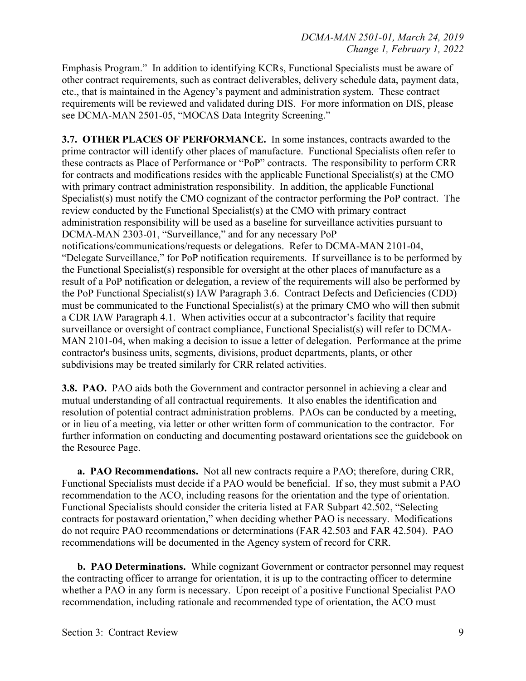Emphasis Program." In addition to identifying KCRs, Functional Specialists must be aware of other contract requirements, such as contract deliverables, delivery schedule data, payment data, etc., that is maintained in the Agency's payment and administration system. These contract requirements will be reviewed and validated during DIS. For more information on DIS, please see DCMA-MAN 2501-05, "MOCAS Data Integrity Screening."

**3.7. OTHER PLACES OF PERFORMANCE.** In some instances, contracts awarded to the prime contractor will identify other places of manufacture. Functional Specialists often refer to these contracts as Place of Performance or "PoP" contracts. The responsibility to perform CRR for contracts and modifications resides with the applicable Functional Specialist(s) at the CMO with primary contract administration responsibility. In addition, the applicable Functional Specialist(s) must notify the CMO cognizant of the contractor performing the PoP contract. The review conducted by the Functional Specialist(s) at the CMO with primary contract administration responsibility will be used as a baseline for surveillance activities pursuant to DCMA-MAN 2303-01, "Surveillance," and for any necessary PoP notifications/communications/requests or delegations. Refer to DCMA-MAN 2101-04, "Delegate Surveillance," for PoP notification requirements. If surveillance is to be performed by the Functional Specialist(s) responsible for oversight at the other places of manufacture as a result of a PoP notification or delegation, a review of the requirements will also be performed by the PoP Functional Specialist(s) IAW Paragraph 3.6. Contract Defects and Deficiencies (CDD) must be communicated to the Functional Specialist(s) at the primary CMO who will then submit a CDR IAW Paragraph 4.1. When activities occur at a subcontractor's facility that require surveillance or oversight of contract compliance, Functional Specialist(s) will refer to DCMA-MAN 2101-04, when making a decision to issue a letter of delegation. Performance at the prime contractor's business units, segments, divisions, product departments, plants, or other subdivisions may be treated similarly for CRR related activities.

**3.8. PAO.** PAO aids both the Government and contractor personnel in achieving a clear and mutual understanding of all contractual requirements. It also enables the identification and resolution of potential contract administration problems. PAOs can be conducted by a meeting, or in lieu of a meeting, via letter or other written form of communication to the contractor. For further information on conducting and documenting postaward orientations see the guidebook on the Resource Page.

**a. PAO Recommendations.** Not all new contracts require a PAO; therefore, during CRR, Functional Specialists must decide if a PAO would be beneficial. If so, they must submit a PAO recommendation to the ACO, including reasons for the orientation and the type of orientation. Functional Specialists should consider the criteria listed at FAR Subpart 42.502, "Selecting contracts for postaward orientation," when deciding whether PAO is necessary. Modifications do not require PAO recommendations or determinations (FAR 42.503 and FAR 42.504). PAO recommendations will be documented in the Agency system of record for CRR.

**b. PAO Determinations.** While cognizant Government or contractor personnel may request the contracting officer to arrange for orientation, it is up to the contracting officer to determine whether a PAO in any form is necessary. Upon receipt of a positive Functional Specialist PAO recommendation, including rationale and recommended type of orientation, the ACO must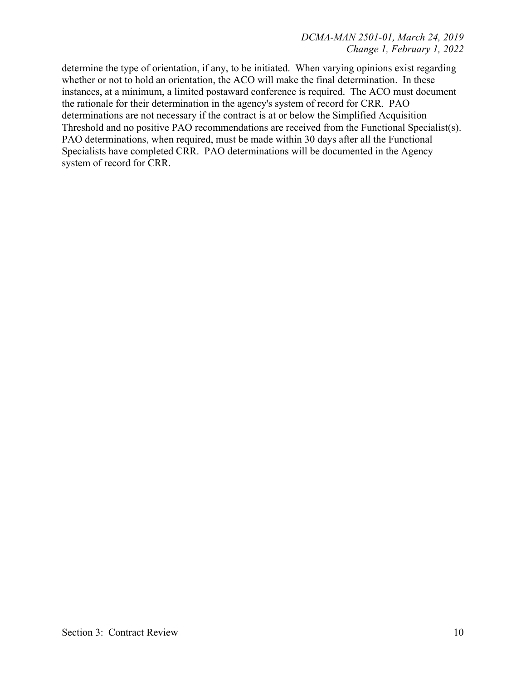determine the type of orientation, if any, to be initiated. When varying opinions exist regarding whether or not to hold an orientation, the ACO will make the final determination. In these instances, at a minimum, a limited postaward conference is required. The ACO must document the rationale for their determination in the agency's system of record for CRR. PAO determinations are not necessary if the contract is at or below the Simplified Acquisition Threshold and no positive PAO recommendations are received from the Functional Specialist(s). PAO determinations, when required, must be made within 30 days after all the Functional Specialists have completed CRR. PAO determinations will be documented in the Agency system of record for CRR.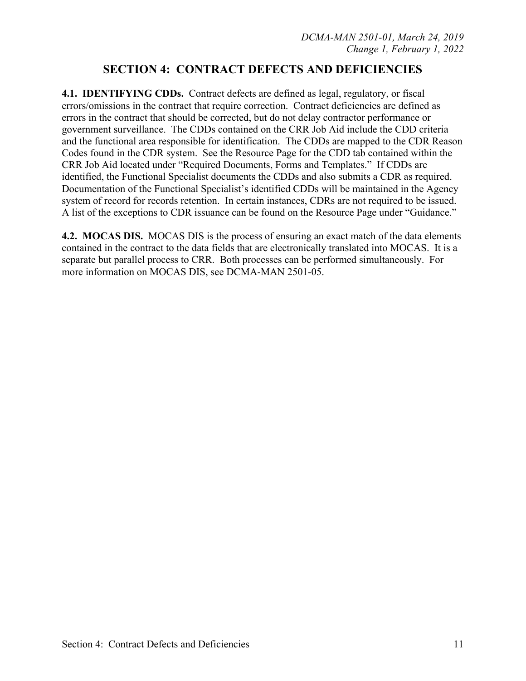## **SECTION 4: CONTRACT DEFECTS AND DEFICIENCIES**

**4.1. IDENTIFYING CDDs.** Contract defects are defined as legal, regulatory, or fiscal errors/omissions in the contract that require correction. Contract deficiencies are defined as errors in the contract that should be corrected, but do not delay contractor performance or government surveillance. The CDDs contained on the CRR Job Aid include the CDD criteria and the functional area responsible for identification. The CDDs are mapped to the CDR Reason Codes found in the CDR system. See the Resource Page for the CDD tab contained within the CRR Job Aid located under "Required Documents, Forms and Templates." If CDDs are identified, the Functional Specialist documents the CDDs and also submits a CDR as required. Documentation of the Functional Specialist's identified CDDs will be maintained in the Agency system of record for records retention. In certain instances, CDRs are not required to be issued. A list of the exceptions to CDR issuance can be found on the Resource Page under "Guidance."

**4.2. MOCAS DIS.** MOCAS DIS is the process of ensuring an exact match of the data elements contained in the contract to the data fields that are electronically translated into MOCAS. It is a separate but parallel process to CRR. Both processes can be performed simultaneously. For more information on MOCAS DIS, see DCMA-MAN 2501-05.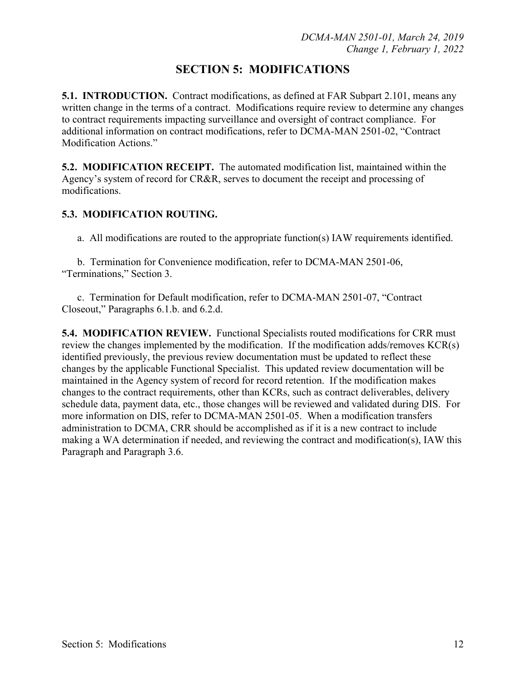## **SECTION 5: MODIFICATIONS**

**5.1. INTRODUCTION.** Contract modifications, as defined at FAR Subpart 2.101, means any written change in the terms of a contract. Modifications require review to determine any changes to contract requirements impacting surveillance and oversight of contract compliance. For additional information on contract modifications, refer to DCMA-MAN 2501-02, "Contract Modification Actions."

**5.2. MODIFICATION RECEIPT.** The automated modification list, maintained within the Agency's system of record for CR&R, serves to document the receipt and processing of modifications.

### **5.3. MODIFICATION ROUTING.**

a. All modifications are routed to the appropriate function(s) IAW requirements identified.

 b. Termination for Convenience modification, refer to DCMA-MAN 2501-06, "Terminations," Section 3.

 c. Termination for Default modification, refer to DCMA-MAN 2501-07, "Contract Closeout," Paragraphs 6.1.b. and 6.2.d.

**5.4. MODIFICATION REVIEW.** Functional Specialists routed modifications for CRR must review the changes implemented by the modification. If the modification adds/removes KCR(s) identified previously, the previous review documentation must be updated to reflect these changes by the applicable Functional Specialist. This updated review documentation will be maintained in the Agency system of record for record retention. If the modification makes changes to the contract requirements, other than KCRs, such as contract deliverables, delivery schedule data, payment data, etc., those changes will be reviewed and validated during DIS. For more information on DIS, refer to DCMA-MAN 2501-05. When a modification transfers administration to DCMA, CRR should be accomplished as if it is a new contract to include making a WA determination if needed, and reviewing the contract and modification(s), IAW this Paragraph and Paragraph 3.6.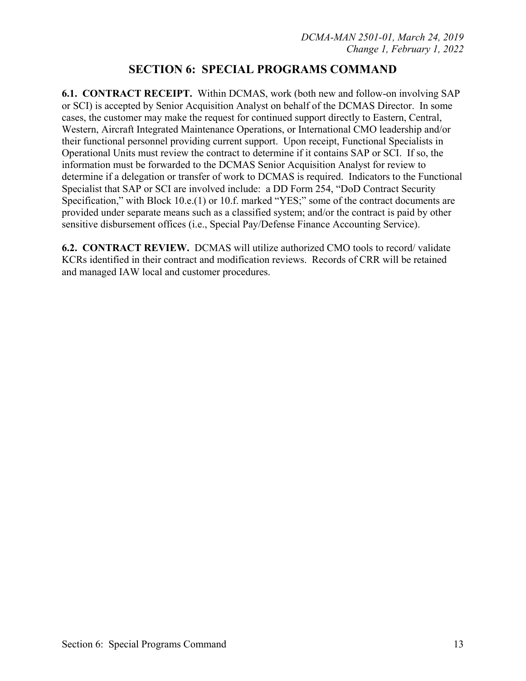## **SECTION 6: SPECIAL PROGRAMS COMMAND**

**6.1. CONTRACT RECEIPT.** Within DCMAS, work (both new and follow-on involving SAP or SCI) is accepted by Senior Acquisition Analyst on behalf of the DCMAS Director. In some cases, the customer may make the request for continued support directly to Eastern, Central, Western, Aircraft Integrated Maintenance Operations, or International CMO leadership and/or their functional personnel providing current support. Upon receipt, Functional Specialists in Operational Units must review the contract to determine if it contains SAP or SCI. If so, the information must be forwarded to the DCMAS Senior Acquisition Analyst for review to determine if a delegation or transfer of work to DCMAS is required. Indicators to the Functional Specialist that SAP or SCI are involved include: a DD Form 254, "DoD Contract Security Specification," with Block 10.e.(1) or 10.f. marked "YES;" some of the contract documents are provided under separate means such as a classified system; and/or the contract is paid by other sensitive disbursement offices (i.e., Special Pay/Defense Finance Accounting Service).

**6.2. CONTRACT REVIEW.** DCMAS will utilize authorized CMO tools to record/ validate KCRs identified in their contract and modification reviews. Records of CRR will be retained and managed IAW local and customer procedures.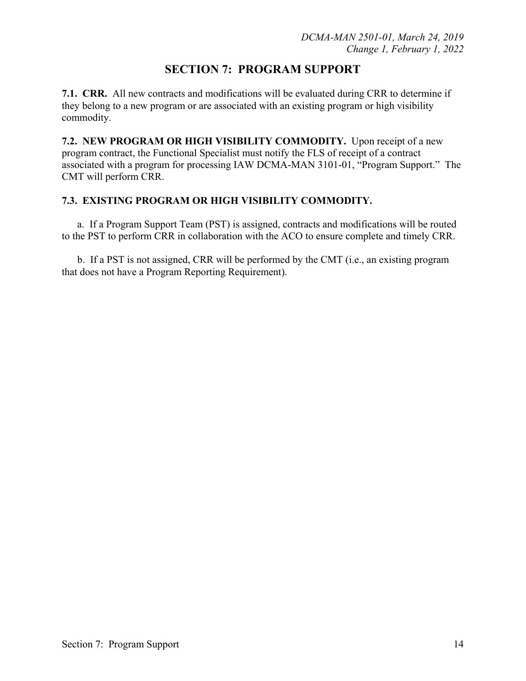## **SECTION 7: PROGRAM SUPPORT**

**7.1. CRR.** All new contracts and modifications will be evaluated during CRR to determine if they belong to a new program or are associated with an existing program or high visibility commodity.

**7.2. NEW PROGRAM OR HIGH VISIBILITY COMMODITY.** Upon receipt of a new program contract, the Functional Specialist must notify the FLS of receipt of a contract associated with a program for processing IAW DCMA-MAN 3101-01, "Program Support." The CMT will perform CRR.

### **7.3. EXISTING PROGRAM OR HIGH VISIBILITY COMMODITY.**

 a. If a Program Support Team (PST) is assigned, contracts and modifications will be routed to the PST to perform CRR in collaboration with the ACO to ensure complete and timely CRR.

 b. If a PST is not assigned, CRR will be performed by the CMT (i.e., an existing program that does not have a Program Reporting Requirement).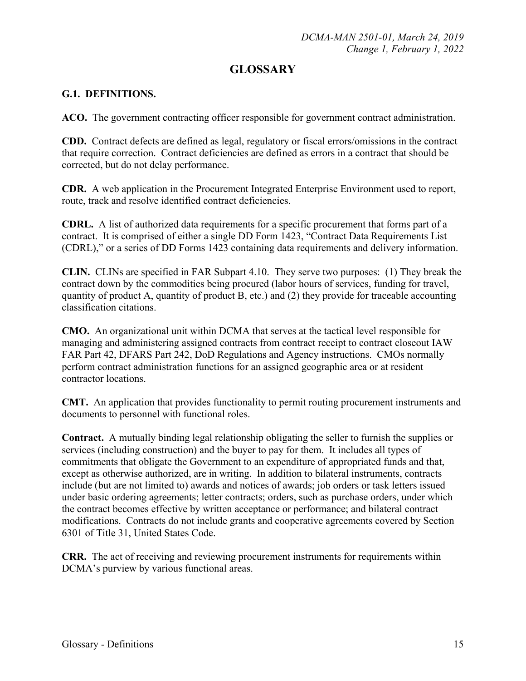## **GLOSSARY**

### **G.1. DEFINITIONS.**

**ACO.** The government contracting officer responsible for government contract administration.

**CDD.** Contract defects are defined as legal, regulatory or fiscal errors/omissions in the contract that require correction. Contract deficiencies are defined as errors in a contract that should be corrected, but do not delay performance.

**CDR.** A web application in the Procurement Integrated Enterprise Environment used to report, route, track and resolve identified contract deficiencies.

**CDRL.** A list of authorized data requirements for a specific procurement that forms part of a contract. It is comprised of either a single DD Form 1423, "Contract Data Requirements List (CDRL)," or a series of DD Forms 1423 containing data requirements and delivery information.

**CLIN.** CLINs are specified in FAR Subpart 4.10. They serve two purposes: (1) They break the contract down by the commodities being procured (labor hours of services, funding for travel, quantity of product A, quantity of product B, etc.) and (2) they provide for traceable accounting classification citations.

**CMO.** An organizational unit within DCMA that serves at the tactical level responsible for managing and administering assigned contracts from contract receipt to contract closeout IAW FAR Part 42, DFARS Part 242, DoD Regulations and Agency instructions. CMOs normally perform contract administration functions for an assigned geographic area or at resident contractor locations.

**CMT.** An application that provides functionality to permit routing procurement instruments and documents to personnel with functional roles.

**Contract.** A mutually binding legal relationship obligating the seller to furnish the supplies or services (including construction) and the buyer to pay for them. It includes all types of commitments that obligate the Government to an expenditure of appropriated funds and that, except as otherwise authorized, are in writing. In addition to bilateral instruments, contracts include (but are not limited to) awards and notices of awards; job orders or task letters issued under basic ordering agreements; letter contracts; orders, such as purchase orders, under which the contract becomes effective by written acceptance or performance; and bilateral contract modifications. Contracts do not include grants and cooperative agreements covered by Section 6301 of Title 31, United States Code.

**CRR.** The act of receiving and reviewing procurement instruments for requirements within DCMA's purview by various functional areas.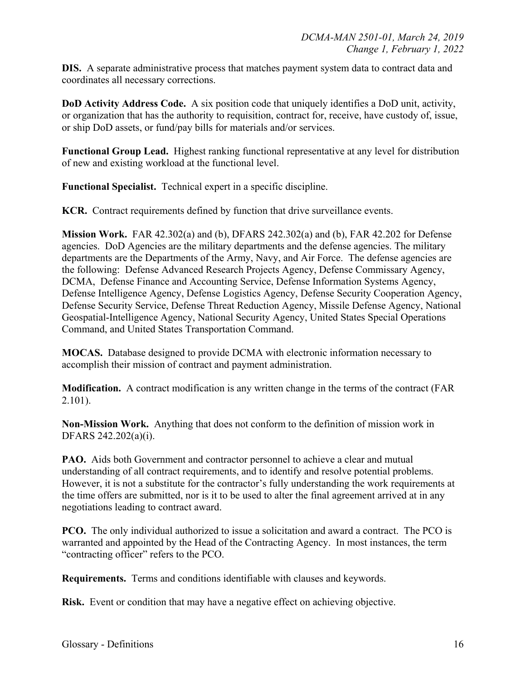**DIS.** A separate administrative process that matches payment system data to contract data and coordinates all necessary corrections.

**DoD Activity Address Code.** A six position code that uniquely identifies a DoD unit, activity, or organization that has the authority to requisition, contract for, receive, have custody of, issue, or ship DoD assets, or fund/pay bills for materials and/or services.

**Functional Group Lead.** Highest ranking functional representative at any level for distribution of new and existing workload at the functional level.

**Functional Specialist.** Technical expert in a specific discipline.

**KCR.** Contract requirements defined by function that drive surveillance events.

**Mission Work.** FAR 42.302(a) and (b), DFARS 242.302(a) and (b), FAR 42.202 for Defense agencies. DoD Agencies are the military departments and the defense agencies. The military departments are the Departments of the Army, Navy, and Air Force. The defense agencies are the following: Defense Advanced Research Projects Agency, Defense Commissary Agency, DCMA, Defense Finance and Accounting Service, Defense Information Systems Agency, Defense Intelligence Agency, Defense Logistics Agency, Defense Security Cooperation Agency, Defense Security Service, Defense Threat Reduction Agency, Missile Defense Agency, National Geospatial-Intelligence Agency, National Security Agency, United States Special Operations Command, and United States Transportation Command.

**MOCAS.** Database designed to provide DCMA with electronic information necessary to accomplish their mission of contract and payment administration.

**Modification.** A contract modification is any written change in the terms of the contract (FAR 2.101).

**Non-Mission Work.** Anything that does not conform to the definition of mission work in DFARS 242.202(a)(i).

**PAO.** Aids both Government and contractor personnel to achieve a clear and mutual understanding of all contract requirements, and to identify and resolve potential problems. However, it is not a substitute for the contractor's fully understanding the work requirements at the time offers are submitted, nor is it to be used to alter the final agreement arrived at in any negotiations leading to contract award.

**PCO.** The only individual authorized to issue a solicitation and award a contract. The PCO is warranted and appointed by the Head of the Contracting Agency. In most instances, the term "contracting officer" refers to the PCO.

**Requirements.** Terms and conditions identifiable with clauses and keywords.

**Risk.** Event or condition that may have a negative effect on achieving objective.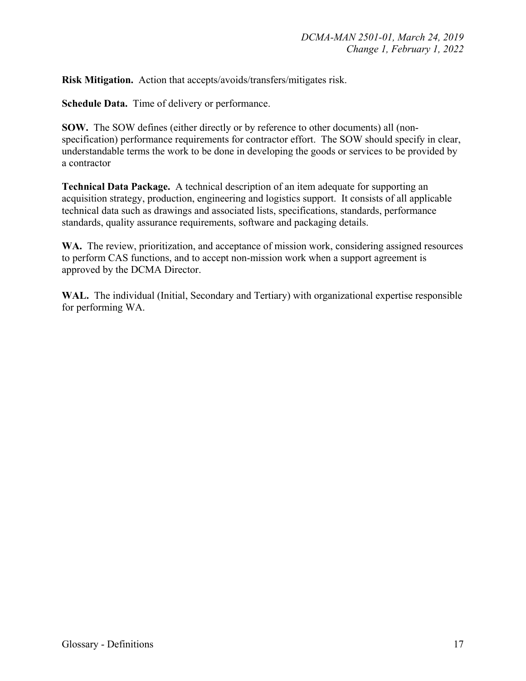**Risk Mitigation.** Action that accepts/avoids/transfers/mitigates risk.

**Schedule Data.** Time of delivery or performance.

**SOW.** The SOW defines (either directly or by reference to other documents) all (nonspecification) performance requirements for contractor effort. The SOW should specify in clear, understandable terms the work to be done in developing the goods or services to be provided by a contractor

**Technical Data Package.** A technical description of an item adequate for supporting an acquisition strategy, production, engineering and logistics support. It consists of all applicable technical data such as drawings and associated lists, specifications, standards, performance standards, quality assurance requirements, software and packaging details.

WA. The review, prioritization, and acceptance of mission work, considering assigned resources to perform CAS functions, and to accept non-mission work when a support agreement is approved by the DCMA Director.

**WAL.** The individual (Initial, Secondary and Tertiary) with organizational expertise responsible for performing WA.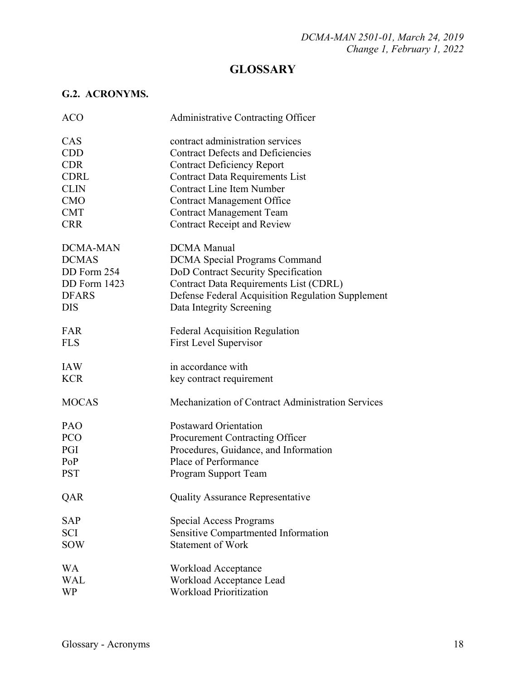# **GLOSSARY**

## **G.2. ACRONYMS.**

| <b>ACO</b>      | Administrative Contracting Officer                |
|-----------------|---------------------------------------------------|
| CAS             | contract administration services                  |
| <b>CDD</b>      | <b>Contract Defects and Deficiencies</b>          |
| <b>CDR</b>      | <b>Contract Deficiency Report</b>                 |
| <b>CDRL</b>     | <b>Contract Data Requirements List</b>            |
| <b>CLIN</b>     | <b>Contract Line Item Number</b>                  |
| <b>CMO</b>      | <b>Contract Management Office</b>                 |
| <b>CMT</b>      | <b>Contract Management Team</b>                   |
| <b>CRR</b>      | <b>Contract Receipt and Review</b>                |
| <b>DCMA-MAN</b> | <b>DCMA</b> Manual                                |
| <b>DCMAS</b>    | <b>DCMA</b> Special Programs Command              |
| DD Form 254     | DoD Contract Security Specification               |
| DD Form 1423    | Contract Data Requirements List (CDRL)            |
| <b>DFARS</b>    | Defense Federal Acquisition Regulation Supplement |
| <b>DIS</b>      | Data Integrity Screening                          |
| FAR             | <b>Federal Acquisition Regulation</b>             |
| <b>FLS</b>      | <b>First Level Supervisor</b>                     |
| <b>IAW</b>      | in accordance with                                |
| <b>KCR</b>      | key contract requirement                          |
| <b>MOCAS</b>    | Mechanization of Contract Administration Services |
| PAO             | <b>Postaward Orientation</b>                      |
| PCO             | Procurement Contracting Officer                   |
| PGI             | Procedures, Guidance, and Information             |
| PoP             | Place of Performance                              |
| <b>PST</b>      | Program Support Team                              |
| QAR             | Quality Assurance Representative                  |
| <b>SAP</b>      | <b>Special Access Programs</b>                    |
| <b>SCI</b>      | Sensitive Compartmented Information               |
| <b>SOW</b>      | <b>Statement of Work</b>                          |
| <b>WA</b>       | Workload Acceptance                               |
| <b>WAL</b>      | Workload Acceptance Lead                          |
| <b>WP</b>       | <b>Workload Prioritization</b>                    |